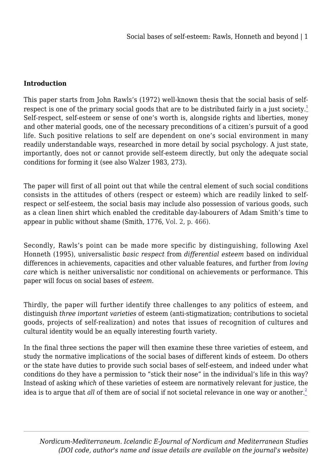# **Introduction**

<span id="page-0-0"></span>This paper starts from John Rawls's (1972) well-known thesis that the social basis of self-respect is one of the primary social goods that are to be distributed fairly in a just society.<sup>[1](#page-20-0)</sup> Self-respect, self-esteem or sense of one's worth is, alongside rights and liberties, money and other material goods, one of the necessary preconditions of a citizen's pursuit of a good life. Such positive relations to self are dependent on one's social environment in many readily understandable ways, researched in more detail by social psychology. A just state, importantly, does not or cannot provide self-esteem directly, but only the adequate social conditions for forming it (see also Walzer 1983, 273).

The paper will first of all point out that while the central element of such social conditions consists in the attitudes of others (respect or esteem) which are readily linked to selfrespect or self-esteem, the social basis may include also possession of various goods, such as a clean linen shirt which enabled the creditable day-labourers of Adam Smith's time to appear in public without shame (Smith, 1776, Vol. 2, p. 466).

Secondly, Rawls's point can be made more specific by distinguishing, following Axel Honneth (1995), universalistic *basic respect* from *differential esteem* based on individual differences in achievements, capacities and other valuable features, and further from *loving care* which is neither universalistic nor conditional on achievements or performance. This paper will focus on social bases of *esteem*.

Thirdly, the paper will further identify three challenges to any politics of esteem, and distinguish *three important varieties* of esteem (anti-stigmatization; contributions to societal goods, projects of self-realization) and notes that issues of recognition of cultures and cultural identity would be an equally interesting fourth variety.

<span id="page-0-1"></span>In the final three sections the paper will then examine these three varieties of esteem, and study the normative implications of the social bases of different kinds of esteem. Do others or the state have duties to provide such social bases of self-esteem, and indeed under what conditions do they have a permission to "stick their nose" in the individual's life in this way? Instead of asking *which* of these varieties of esteem are normatively relevant for justice, the idea is to argue that *all* of them are of social if not societal relevance in one way or another.<sup>[2](#page-21-0)</sup>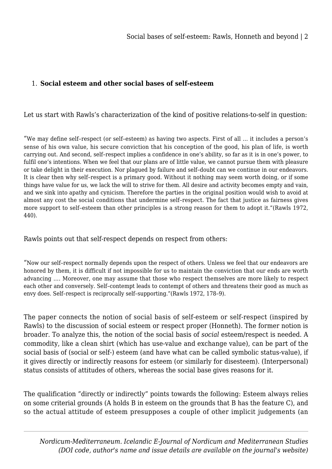## 1. **Social esteem and other social bases of self-esteem**

Let us start with Rawls's characterization of the kind of positive relations-to-self in question:

"We may define self–respect (or self–esteem) as having two aspects. First of all … it includes a person's sense of his own value, his secure conviction that his conception of the good, his plan of life, is worth carrying out. And second, self–respect implies a confidence in one's ability, so far as it is in one's power, to fulfil one's intentions. When we feel that our plans are of little value, we cannot pursue them with pleasure or take delight in their execution. Nor plagued by failure and self–doubt can we continue in our endeavors. It is clear then why self–respect is a primary good. Without it nothing may seem worth doing, or if some things have value for us, we lack the will to strive for them. All desire and activity becomes empty and vain, and we sink into apathy and cynicism. Therefore the parties in the original position would wish to avoid at almost any cost the social conditions that undermine self–respect. The fact that justice as fairness gives more support to self–esteem than other principles is a strong reason for them to adopt it."(Rawls 1972, 440).

Rawls points out that self-respect depends on respect from others:

"Now our self–respect normally depends upon the respect of others. Unless we feel that our endeavors are honored by them, it is difficult if not impossible for us to maintain the conviction that our ends are worth advancing …. Moreover, one may assume that those who respect themselves are more likely to respect each other and conversely. Self–contempt leads to contempt of others and threatens their good as much as envy does. Self–respect is reciprocally self–supporting."(Rawls 1972, 178–9).

The paper connects the notion of social basis of self-esteem or self-respect (inspired by Rawls) to the discussion of social esteem or respect proper (Honneth). The former notion is broader. To analyze this, the notion of the social basis of *social* esteem/respect is needed. A commodity, like a clean shirt (which has use-value and exchange value), can be part of the social basis of (social or self-) esteem (and have what can be called symbolic status-value), if it gives directly or indirectly reasons for esteem (or similarly for disesteem). (Interpersonal) status consists of attitudes of others, whereas the social base gives reasons for it.

The qualification "directly or indirectly" points towards the following: Esteem always relies on some criterial grounds (A holds B in esteem on the grounds that B has the feature C), and so the actual attitude of esteem presupposes a couple of other implicit judgements (an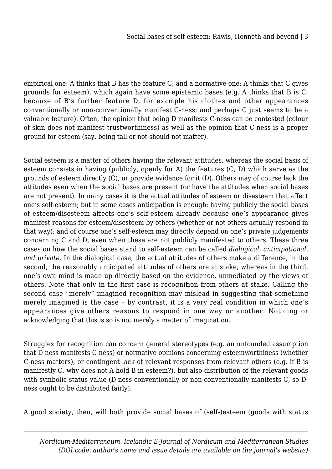empirical one: A thinks that B has the feature C; and a normative one: A thinks that C gives grounds for esteem), which again have some epistemic bases (e.g. A thinks that B is C, because of B's further feature D, for example his clothes and other appearances conventionally or non-conventionally manifest C-ness; and perhaps C just seems to be a valuable feature). Often, the opinion that being D manifests C-ness can be contested (colour of skin does not manifest trustworthiness) as well as the opinion that C-ness is a proper ground for esteem (say, being tall or not should not matter).

Social esteem is a matter of others having the relevant attitudes, whereas the social basis of esteem consists in having (publicly, openly for A) the features (C, D) which serve as the grounds of esteem directly (C), or provide evidence for it (D). Others may of course lack the attitudes even when the social bases are present (or have the attitudes when social bases are not present). In many cases it is the actual attitudes of esteem or disesteem that affect one's self-esteem; but in some cases anticipation is enough: having publicly the social bases of esteem/disesteem affects one's self-esteem already because one's appearance gives manifest reasons for esteem/disesteem by others (whether or not others actually respond in that way); and of course one's self-esteem may directly depend on one's private judgements concerning C and D, even when these are not publicly manifested to others. These three cases on how the social bases stand to self-esteem can be called *dialogical, anticipational, and private*. In the dialogical case, the actual attitudes of others make a difference, in the second, the reasonably anticipated attitudes of others are at stake, whereas in the third, one's own mind is made up directly based on the evidence, unmediated by the views of others. Note that only in the first case is recognition from others at stake. Calling the second case "merely" imagined recognition may mislead in suggesting that something merely imagined is the case – by contrast, it is a very real condition in which one's appearances give others reasons to respond in one way or another. Noticing or acknowledging that this is so is not merely a matter of imagination.

Struggles for recognition can concern general stereotypes (e.g. an unfounded assumption that D-ness manifests C-ness) or normative opinions concerning esteemworthiness (whether C-ness matters), or contingent lack of relevant responses from relevant others (e.g. if B is manifestly C, why does not A hold B in esteem?), but also distribution of the relevant goods with symbolic status value (D-ness conventionally or non-conventionally manifests C, so Dness ought to be distributed fairly).

A good society, then, will both provide social bases of (self-)esteem (goods with status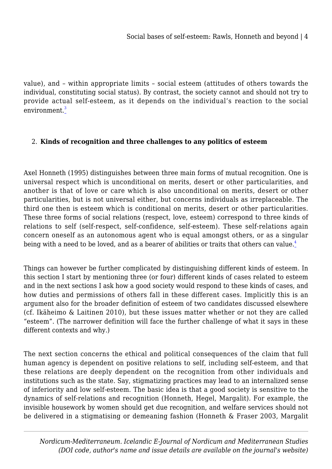<span id="page-3-0"></span>value), and – within appropriate limits – social esteem (attitudes of others towards the individual, constituting social status). By contrast, the society cannot and should not try to provide actual self-esteem, as it depends on the individual's reaction to the social environment.<sup>[3](#page-22-0)</sup>

## 2. **Kinds of recognition and three challenges to any politics of esteem**

Axel Honneth (1995) distinguishes between three main forms of mutual recognition. One is universal respect which is unconditional on merits, desert or other particularities, and another is that of love or care which is also unconditional on merits, desert or other particularities, but is not universal either, but concerns individuals as irreplaceable. The third one then is esteem which is conditional on merits, desert or other particularities. These three forms of social relations (respect, love, esteem) correspond to three kinds of relations to self (self-respect, self-confidence, self-esteem). These self-relations again concern oneself as an autonomous agent who is equal amongst others, or as a singular being with a need to be loved, and as a bearer of abilities or traits that others can value.<sup>[4](#page-23-0)</sup>

<span id="page-3-1"></span>Things can however be further complicated by distinguishing different kinds of esteem. In this section I start by mentioning three (or four) different kinds of cases related to esteem and in the next sections I ask how a good society would respond to these kinds of cases, and how duties and permissions of others fall in these different cases. Implicitly this is an argument also for the broader definition of esteem of two candidates discussed elsewhere (cf. Ikäheimo & Laitinen 2010), but these issues matter whether or not they are called "esteem". (The narrower definition will face the further challenge of what it says in these different contexts and why.)

The next section concerns the ethical and political consequences of the claim that full human agency is dependent on positive relations to self, including self-esteem, and that these relations are deeply dependent on the recognition from other individuals and institutions such as the state. Say, stigmatizing practices may lead to an internalized sense of inferiority and low self-esteem. The basic idea is that a good society is sensitive to the dynamics of self-relations and recognition (Honneth, Hegel, Margalit). For example, the invisible housework by women should get due recognition, and welfare services should not be delivered in a stigmatising or demeaning fashion (Honneth & Fraser 2003, Margalit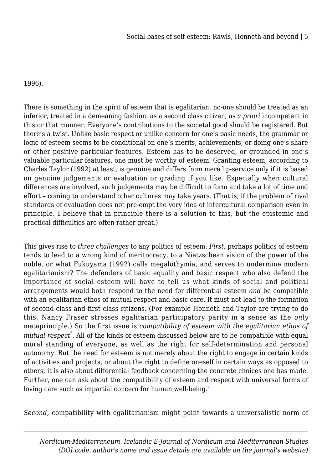## 1996).

There is something in the spirit of esteem that is egalitarian: no-one should be treated as an inferior, treated in a demeaning fashion, as a second class citizen, as *a priori* incompetent in this or that manner. Everyone's contributions to the societal good should be registered. But there's a twist. Unlike basic respect or unlike concern for one's basic needs, the grammar or logic of esteem seems to be conditional on one's merits, achievements, or doing one's share or other positive particular features. Esteem has to be deserved, or grounded in one's valuable particular features, one must be worthy of esteem. Granting esteem, according to Charles Taylor (1992) at least, is genuine and differs from mere lip-service only if it is based on genuine judgements or evaluation or grading if you like. Especially when cultural differences are involved, such judgements may be difficult to form and take a lot of time and effort – coming to understand other cultures may take years. (That is, if the problem of rival standards of evaluation does not pre-empt the very idea of intercultural comparison even in principle. I believe that in principle there is a solution to this, but the epistemic and practical difficulties are often rather great.)

This gives rise to *three challenges* to any politics of esteem: *First*, perhaps politics of esteem tends to lead to a wrong kind of meritocracy, to a Nietzschean vision of the power of the noble, or what Fukuyama (1992) calls megalothymia, and serves to undermine modern egalitarianism? The defenders of basic equality and basic respect who also defend the importance of social esteem will have to tell us what kinds of social and political arrangements would both respond to the need for differential esteem *and* be compatible with an egalitarian ethos of mutual respect and basic care. It must not lead to the formation of second-class and first class citizens. (For example Honneth and Taylor are trying to do this, Nancy Fraser stresses egalitarian participatory parity in a sense as the *only* metaprinciple.) So the first issue is *compatibility of esteem with the egalitarian ethos of* mutual respect<sup>[5](#page-24-0)</sup>. All of the kinds of esteem discussed below are to be compatible with equal moral standing of everyone, as well as the right for self-determination and personal autonomy. But the need for esteem is not merely about the right to engage in certain kinds of activities and projects, or about the right to define oneself in certain ways as opposed to others, it is also about differential feedback concerning the concrete choices one has made. Further, one can ask about the compatibility of esteem and respect with universal forms of loving care such as impartial concern for human well-being. $6$ 

<span id="page-4-1"></span><span id="page-4-0"></span>*Second,* compatibility with egalitarianism might point towards a universalistic norm of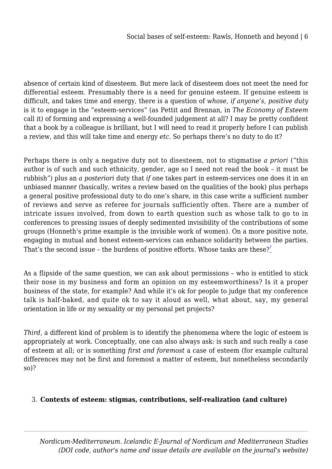absence of certain kind of disesteem. But mere lack of disesteem does not meet the need for differential esteem. Presumably there is a need for genuine esteem. If genuine esteem is difficult, and takes time and energy, there is a question of *whose, if anyone's, positive duty* is it to engage in the "esteem-services" (as Pettit and Brennan, in *The Economy of Esteem* call it) of forming and expressing a well-founded judgement at all? I may be pretty confident that a book by a colleague is brilliant, but I will need to read it properly before I can publish a review, and this will take time and energy *etc.* So perhaps there's no duty to do it?

Perhaps there is only a negative duty not to disesteem, not to stigmatise *a priori* ("this author is of such and such ethnicity, gender, age so I need not read the book – it must be rubbish") plus an *a posteriori* duty that *if* one takes part in esteem-services one does it in an unbiased manner (basically, writes a review based on the qualities of the book) plus perhaps a general positive professional duty to do one's share, in this case write a sufficient number of reviews and serve as referee for journals sufficiently often. There are a number of intricate issues involved, from down to earth question such as whose talk to go to in conferences to pressing issues of deeply sedimented invisibility of the contributions of some groups (Honneth's prime example is the invisible work of women). On a more positive note, engaging in mutual and honest esteem-services can enhance solidarity between the parties. That's the second issue – the burdens of positive efforts. Whose tasks are these?<sup>[7](#page-25-1)</sup>

<span id="page-5-0"></span>As a flipside of the same question, we can ask about permissions – who is entitled to stick their nose in my business and form an opinion on my esteemworthiness? Is it a proper business of the state, for example? And while it's ok for people to judge that my conference talk is half-baked, and quite ok to say it aloud as well, what about, say, my general orientation in life or my sexuality or my personal pet projects?

*Third*, a different kind of problem is to identify the phenomena where the logic of esteem is appropriately at work. Conceptually, one can also always ask: is such and such really a case of esteem at all; or is something *first and foremost* a case of esteem (for example cultural differences may not be first and foremost a matter of esteem, but nonetheless secondarily so)?

## 3. **Contexts of esteem: stigmas, contributions, self-realization (and culture)**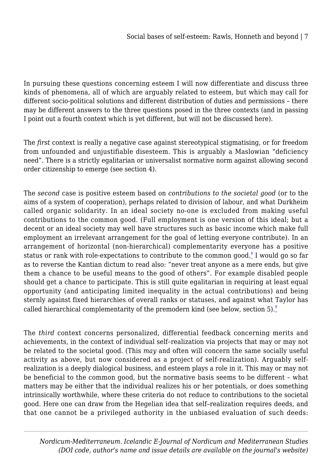In pursuing these questions concerning esteem I will now differentiate and discuss three kinds of phenomena, all of which are arguably related to esteem, but which may call for different socio-political solutions and different distribution of duties and permissions – there may be different answers to the three questions posed in the three contexts (and in passing I point out a fourth context which is yet different, but will not be discussed here).

The *first* context is really a negative case against stereotypical stigmatising, or for freedom from unfounded and unjustifiable disesteem. This is arguably a Maslowian "deficiency need". There is a strictly egalitarian or universalist normative norm against allowing second order citizenship to emerge (see section 4).

<span id="page-6-0"></span>The *second* case is positive esteem based on *contributions to the societal good* (or to the aims of a system of cooperation), perhaps related to division of labour, and what Durkheim called organic solidarity. In an ideal society no-one is excluded from making useful contributions to the common good. (Full employment is one version of this ideal; but a decent or an ideal society may well have structures such as basic income which make full employment an irrelevant arrangement for the goal of letting everyone contribute). In an arrangement of horizontal (non-hierarchical) complementarity everyone has a positive status or rank with role-expectations to contribute to the common good. $^{\text{8}}$  $^{\text{8}}$  $^{\text{8}}$  I would go so far as to reverse the Kantian dictum to read also: "never treat anyone as a mere ends, but give them a chance to be useful means to the good of others". For example disabled people should get a chance to participate. This is still quite egalitarian in requiring at least equal opportunity (and anticipating limited inequality in the actual contributions) and being sternly against fixed hierarchies of overall ranks or statuses, and against what Taylor has called hierarchical complementarity of the premodern kind (see below, section 5). $\frac{9}{2}$  $\frac{9}{2}$  $\frac{9}{2}$ 

<span id="page-6-1"></span>The *third* context concerns personalized, differential feedback concerning merits and achievements, in the context of individual self–realization via projects that may or may not be related to the societal good. (This *may* and often will concern the same socially useful activity as above, but now considered as a project of self-realization). Arguably selfrealization is a deeply dialogical business, and esteem plays a role in it. This may or may not be beneficial to the common good, but the normative basis seems to be different – what matters may be either that the individual realizes his or her potentials, or does something intrinsically worthwhile, where these criteria do not reduce to contributions to the societal good. Here one can draw from the Hegelian idea that self–realization requires deeds, and that one cannot be a privileged authority in the unbiased evaluation of such deeds: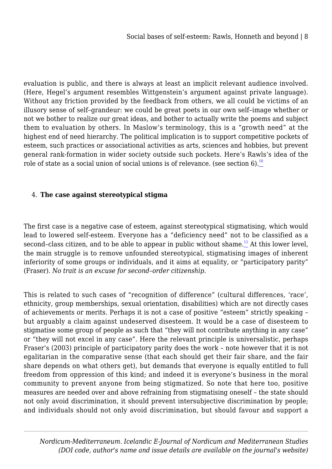evaluation is public, and there is always at least an implicit relevant audience involved. (Here, Hegel's argument resembles Wittgenstein's argument against private language). Without any friction provided by the feedback from others, we all could be victims of an illusory sense of self–grandeur: we could be great poets in our own self–image whether or not we bother to realize our great ideas, and bother to actually write the poems and subject them to evaluation by others. In Maslow's terminology, this is a "growth need" at the highest end of need hierarchy. The political implication is to support competitive pockets of esteem, such practices or associational activities as arts, sciences and hobbies, but prevent general rank-formation in wider society outside such pockets. Here's Rawls's idea of the role of state as a social union of social unions is of relevance. (see section 6).<sup>[10](#page-28-0)</sup>

## <span id="page-7-0"></span>4. **The case against stereotypical stigma**

<span id="page-7-1"></span>The first case is a negative case of esteem, against stereotypical stigmatising, which would lead to lowered self-esteem. Everyone has a "deficiency need" not to be classified as a second–class citizen, and to be able to appear in public without shame.<sup>[11](#page-29-0)</sup> At this lower level, the main struggle is to remove unfounded stereotypical, stigmatising images of inherent inferiority of some groups or individuals, and it aims at equality, or "participatory parity" (Fraser). *No trait is an excuse for second–order citizenship.*

This is related to such cases of "recognition of difference" (cultural differences, 'race', ethnicity, group memberships, sexual orientation, disabilities) which are not directly cases of achievements or merits. Perhaps it is not a case of positive "esteem" strictly speaking – but arguably a claim against undeserved disesteem. It would be a case of disesteem to stigmatise some group of people as such that "they will not contribute anything in any case" or "they will not excel in any case". Here the relevant principle is universalistic, perhaps Fraser's (2003) principle of participatory parity does the work – note however that it is not egalitarian in the comparative sense (that each should get their fair share, and the fair share depends on what others get), but demands that everyone is equally entitled to full freedom from oppression of this kind; and indeed it is everyone's business in the moral community to prevent anyone from being stigmatized. So note that here too, positive measures are needed over and above refraining from stigmatising oneself – the state should not only avoid discrimination, it should prevent intersubjective discrimination by people; and individuals should not only avoid discrimination, but should favour and support a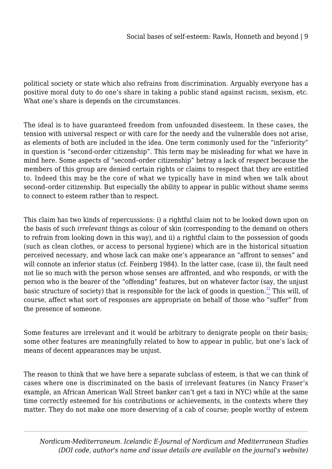political society or state which also refrains from discrimination. Arguably everyone has a positive moral duty to do one's share in taking a public stand against racism, sexism, etc. What one's share is depends on the circumstances.

The ideal is to have guaranteed freedom from unfounded disesteem. In these cases, the tension with universal respect or with care for the needy and the vulnerable does not arise, as elements of both are included in the idea. One term commonly used for the "inferiority" in question is "second-order citizenship". This term may be misleading for what we have in mind here. Some aspects of "second–order citizenship" betray a lack of *respect* because the members of this group are denied certain rights or claims to respect that they are entitled to. Indeed this may be the core of what we typically have in mind when we talk about second–order citizenship. But especially the ability to appear in public without shame seems to connect to esteem rather than to respect.

This claim has two kinds of repercussions: i) a rightful claim not to be looked down upon on the basis of such *irrelevant* things as colour of skin (corresponding to the demand on others to refrain from looking down in this way), and ii) a rightful claim to the possession of goods (such as clean clothes, or access to personal hygiene) which are in the historical situation perceived necessary, and whose lack can make one's appearance an "affront to senses" and will connote an inferior status (cf. Feinberg 1984). In the latter case, (case ii), the fault need not lie so much with the person whose senses are affronted, and who responds, or with the person who is the bearer of the "offending" features, but on whatever factor (say, the unjust basic structure of society) that is responsible for the lack of goods in question.<sup>[12](#page-30-0)</sup> This will, of course, affect what sort of responses are appropriate on behalf of those who "suffer" from the presence of someone.

<span id="page-8-0"></span>Some features are irrelevant and it would be arbitrary to denigrate people on their basis; some other features are meaningfully related to how to appear in public, but one's lack of means of decent appearances may be unjust.

The reason to think that we have here a separate subclass of esteem, is that we can think of cases where one is discriminated on the basis of irrelevant features (in Nancy Fraser's example, an African American Wall Street banker can't get a taxi in NYC) while at the same time correctly esteemed for his contributions or achievements, in the contexts where they matter. They do not make one more deserving of a cab of course; people worthy of esteem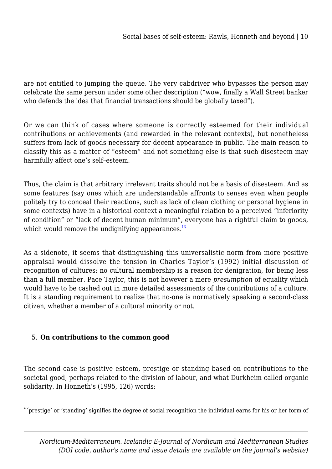are not entitled to jumping the queue. The very cabdriver who bypasses the person may celebrate the same person under some other description ("wow, finally a Wall Street banker who defends the idea that financial transactions should be globally taxed").

Or we can think of cases where someone is correctly esteemed for their individual contributions or achievements (and rewarded in the relevant contexts), but nonetheless suffers from lack of goods necessary for decent appearance in public. The main reason to classify this as a matter of "esteem" and not something else is that such disesteem may harmfully affect one's self–esteem.

Thus, the claim is that arbitrary irrelevant traits should not be a basis of disesteem. And as some features (say ones which are understandable affronts to senses even when people politely try to conceal their reactions, such as lack of clean clothing or personal hygiene in some contexts) have in a historical context a meaningful relation to a perceived "inferiority of condition" or "lack of decent human minimum", everyone has a rightful claim to goods, which would remove the undignifying appearances. $13$ 

<span id="page-9-0"></span>As a sidenote, it seems that distinguishing this universalistic norm from more positive appraisal would dissolve the tension in Charles Taylor's (1992) initial discussion of recognition of cultures: no cultural membership is a reason for denigration, for being less than a full member. Pace Taylor, this is not however a mere *presumption* of equality which would have to be cashed out in more detailed assessments of the contributions of a culture. It is a standing requirement to realize that no-one is normatively speaking a second-class citizen, whether a member of a cultural minority or not.

## 5. **On contributions to the common good**

The second case is positive esteem, prestige or standing based on contributions to the societal good, perhaps related to the division of labour, and what Durkheim called organic solidarity. In Honneth's (1995, 126) words:

"'prestige' or 'standing' signifies the degree of social recognition the individual earns for his or her form of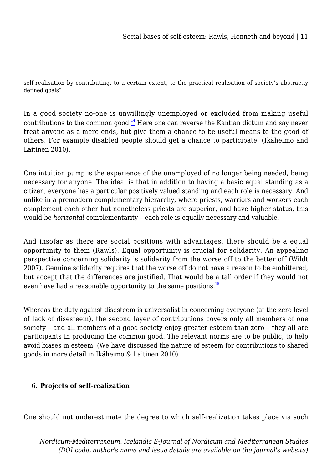self-realisation by contributing, to a certain extent, to the practical realisation of society's abstractly defined goals"

<span id="page-10-0"></span>In a good society no-one is unwillingly unemployed or excluded from making useful contributions to the common good.<sup>[14](#page-32-0)</sup> Here one can reverse the Kantian dictum and say never treat anyone as a mere ends, but give them a chance to be useful means to the good of others. For example disabled people should get a chance to participate. (Ikäheimo and Laitinen 2010).

One intuition pump is the experience of the unemployed of no longer being needed, being necessary for anyone. The ideal is that in addition to having a basic equal standing as a citizen, everyone has a particular positively valued standing and each role is necessary. And unlike in a premodern complementary hierarchy, where priests, warriors and workers each complement each other but nonetheless priests are superior, and have higher status, this would be *horizontal* complementarity – each role is equally necessary and valuable.

And insofar as there are social positions with advantages, there should be a equal opportunity to them (Rawls). Equal opportunity is crucial for solidarity. An appealing perspective concerning solidarity is solidarity from the worse off to the better off (Wildt 2007). Genuine solidarity requires that the worse off do not have a reason to be embittered, but accept that the differences are justified. That would be a tall order if they would not even have had a reasonable opportunity to the same positions. $\frac{15}{10}$  $\frac{15}{10}$  $\frac{15}{10}$ 

<span id="page-10-1"></span>Whereas the duty against disesteem is universalist in concerning everyone (at the zero level of lack of disesteem), the second layer of contributions covers only all members of one society – and all members of a good society enjoy greater esteem than zero – they all are participants in producing the common good. The relevant norms are to be public, to help avoid biases in esteem. (We have discussed the nature of esteem for contributions to shared goods in more detail in Ikäheimo & Laitinen 2010).

## 6. **Projects of self-realization**

One should not underestimate the degree to which self-realization takes place via such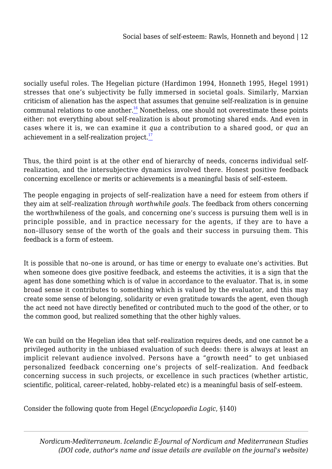<span id="page-11-0"></span>socially useful roles. The Hegelian picture (Hardimon 1994, Honneth 1995, Hegel 1991) stresses that one's subjectivity be fully immersed in societal goals. Similarly, Marxian criticism of alienation has the aspect that assumes that genuine self-realization is in genuine communal relations to one another.<sup>[16](#page-34-0)</sup> Nonetheless, one should not overestimate these points either: not everything about self-realization is about promoting shared ends. And even in cases where it is, we can examine it *qua* a contribution to a shared good, or *qua* an achievement in a self-realization project.<sup>[17](#page-35-0)</sup>

<span id="page-11-1"></span>Thus, the third point is at the other end of hierarchy of needs, concerns individual selfrealization, and the intersubjective dynamics involved there. Honest positive feedback concerning excellence or merits or achievements is a meaningful basis of self–esteem.

The people engaging in projects of self–realization have a need for esteem from others if they aim at self–realization *through worthwhile goals*. The feedback from others concerning the worthwhileness of the goals, and concerning one's success is pursuing them well is in principle possible, and in practice necessary for the agents, if they are to have a non–illusory sense of the worth of the goals and their success in pursuing them. This feedback is a form of esteem.

It is possible that no–one is around, or has time or energy to evaluate one's activities. But when someone does give positive feedback, and esteems the activities, it is a sign that the agent has done something which is of value in accordance to the evaluator. That is, in some broad sense it contributes to something which is valued by the evaluator, and this may create some sense of belonging, solidarity or even gratitude towards the agent, even though the act need not have directly benefited or contributed much to the good of the other, or to the common good, but realized something that the other highly values.

We can build on the Hegelian idea that self–realization requires deeds, and one cannot be a privileged authority in the unbiased evaluation of such deeds: there is always at least an implicit relevant audience involved. Persons have a "growth need" to get unbiased personalized feedback concerning one's projects of self–realization. And feedback concerning success in such projects, or excellence in such practices (whether artistic, scientific, political, career–related, hobby–related etc) is a meaningful basis of self–esteem.

Consider the following quote from Hegel (*Encyclopaedia Logic*, §140)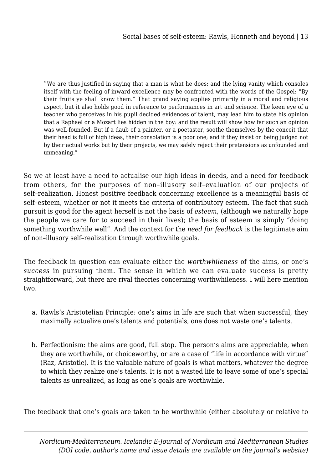"We are thus justified in saying that a man is what he does; and the lying vanity which consoles itself with the feeling of inward excellence may be confronted with the words of the Gospel: "By their fruits ye shall know them." That grand saying applies primarily in a moral and religious aspect, but it also holds good in reference to performances in art and science. The keen eye of a teacher who perceives in his pupil decided evidences of talent, may lead him to state his opinion that a Raphael or a Mozart lies hidden in the boy: and the result will show how far such an opinion was well-founded. But if a daub of a painter, or a poetaster, soothe themselves by the conceit that their head is full of high ideas, their consolation is a poor one; and if they insist on being judged not by their actual works but by their projects, we may safely reject their pretensions as unfounded and unmeaning."

So we at least have a need to actualise our high ideas in deeds, and a need for feedback from others, for the purposes of non–illusory self–evaluation of our projects of self–realization. Honest positive feedback concerning excellence is a meaningful basis of self–esteem, whether or not it meets the criteria of contributory esteem. The fact that such pursuit is good for the agent herself is not the basis of *esteem*, (although we naturally hope the people we care for to succeed in their lives); the basis of esteem is simply "doing something worthwhile well". And the context for the *need for feedback* is the legitimate aim of non–illusory self–realization through worthwhile goals.

The feedback in question can evaluate either the *worthwhileness* of the aims, or one's *success* in pursuing them. The sense in which we can evaluate success is pretty straightforward, but there are rival theories concerning worthwhileness. I will here mention two.

- a. Rawls's Aristotelian Principle: one's aims in life are such that when successful, they maximally actualize one's talents and potentials, one does not waste one's talents.
- b. Perfectionism: the aims are good, full stop. The person's aims are appreciable, when they are worthwhile, or choiceworthy, or are a case of "life in accordance with virtue" (Raz, Aristotle). It is the valuable nature of goals is what matters, whatever the degree to which they realize one's talents. It is not a wasted life to leave some of one's special talents as unrealized, as long as one's goals are worthwhile.

The feedback that one's goals are taken to be worthwhile (either absolutely or relative to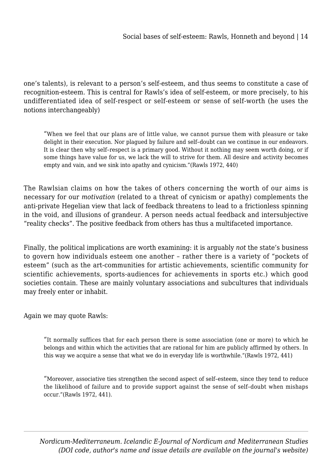one's talents), is relevant to a person's self-esteem, and thus seems to constitute a case of recognition-esteem. This is central for Rawls's idea of self-esteem, or more precisely, to his undifferentiated idea of self-respect or self-esteem or sense of self-worth (he uses the notions interchangeably)

"When we feel that our plans are of little value, we cannot pursue them with pleasure or take delight in their execution. Nor plagued by failure and self–doubt can we continue in our endeavors. It is clear then why self–respect is a primary good. Without it nothing may seem worth doing, or if some things have value for us, we lack the will to strive for them. All desire and activity becomes empty and vain, and we sink into apathy and cynicism."(Rawls 1972, 440)

The Rawlsian claims on how the takes of others concerning the worth of our aims is necessary for our *motivation* (related to a threat of cynicism or apathy) complements the anti-private Hegelian view that lack of feedback threatens to lead to a frictionless spinning in the void, and illusions of grandeur. A person needs actual feedback and intersubjective "reality checks". The positive feedback from others has thus a multifaceted importance.

Finally, the political implications are worth examining: it is arguably *not* the state's business to govern how individuals esteem one another – rather there is a variety of "pockets of esteem" (such as the art-communities for artistic achievements, scientific community for scientific achievements, sports-audiences for achievements in sports etc.) which good societies contain. These are mainly voluntary associations and subcultures that individuals may freely enter or inhabit.

Again we may quote Rawls:

"It normally suffices that for each person there is some association (one or more) to which he belongs and within which the activities that are rational for him are publicly affirmed by others. In this way we acquire a sense that what we do in everyday life is worthwhile."(Rawls 1972, 441)

"Moreover, associative ties strengthen the second aspect of self–esteem, since they tend to reduce the likelihood of failure and to provide support against the sense of self–doubt when mishaps occur."(Rawls 1972, 441).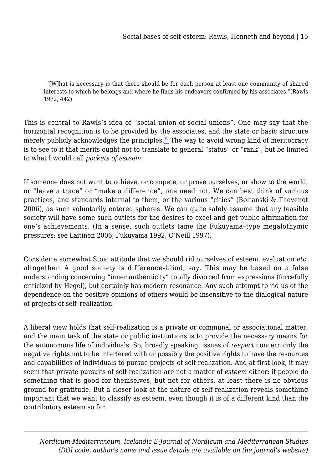"[W]hat is necessary is that there should be for each person at least one community of shared interests to which he belongs and where he finds his endeavors confirmed by his associates."(Rawls 1972, 442)

<span id="page-14-0"></span>This is central to Rawls's idea of "social union of social unions". One may say that the horizontal recognition is to be provided by the associates, and the state or basic structure merely publicly acknowledges the principles. $\frac{18}{10}$  $\frac{18}{10}$  $\frac{18}{10}$  The way to avoid wrong kind of meritocracy is to see to it that merits ought not to translate to general "status" or "rank", but be limited to what I would call *pockets of esteem*.

If someone does not want to achieve, or compete, or prove ourselves, or show to the world, or "leave a trace" or "make a difference", one need not. We can best think of various practices, and standards internal to them, or the various "cities" (Boltanski & Thevenot 2006), as such voluntarily entered spheres. We can quite safely assume that any feasible society will have some such outlets for the desires to excel and get public affirmation for one's achievements. (In a sense, such outlets tame the Fukuyama–type megalothymic pressures; see Laitinen 2006, Fukuyama 1992, O'Neill 1997).

Consider a somewhat Stoic attitude that we should rid ourselves of esteem, evaluation *etc.* altogether. A good society is difference–blind, say. This may be based on a false understanding concerning "inner authenticity" totally divorced from expressions (forcefully criticized by Hegel), but certainly has modern resonance. Any such attempt to rid us of the dependence on the positive opinions of others would be insensitive to the dialogical nature of projects of self–realization.

A liberal view holds that self-realization is a private or communal or associational matter, and the main task of the state or public institutions is to provide the necessary means for the autonomous life of individuals. So, broadly speaking, issues of *respect* concern only the negative rights not to be interfered with or possibly the positive rights to have the resources and capabilities of individuals to pursue projects of self-realization. And at first look, it may seem that private pursuits of self-realization are not a matter of *esteem* either: if people do something that is good for themselves, but not for others, at least there is no obvious ground for gratitude. But a closer look at the nature of self-realization reveals something important that we want to classify as esteem, even though it is of a different kind than the contributory esteem so far.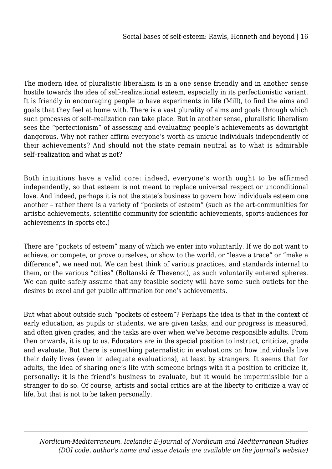The modern idea of pluralistic liberalism is in a one sense friendly and in another sense hostile towards the idea of self-realizational esteem, especially in its perfectionistic variant. It is friendly in encouraging people to have experiments in life (Mill), to find the aims and goals that they feel at home with. There is a vast plurality of aims and goals through which such processes of self–realization can take place. But in another sense, pluralistic liberalism sees the "perfectionism" of assessing and evaluating people's achievements as downright dangerous. Why not rather affirm everyone's worth as unique individuals independently of their achievements? And should not the state remain neutral as to what is admirable self–realization and what is not?

Both intuitions have a valid core: indeed, everyone's worth ought to be affirmed independently, so that esteem is not meant to replace universal respect or unconditional love. And indeed, perhaps it is not the state's business to govern how individuals esteem one another – rather there is a variety of "pockets of esteem" (such as the art-communities for artistic achievements, scientific community for scientific achievements, sports-audiences for achievements in sports etc.)

There are "pockets of esteem" many of which we enter into voluntarily. If we do not want to achieve, or compete, or prove ourselves, or show to the world, or "leave a trace" or "make a difference", we need not. We can best think of various practices, and standards internal to them, or the various "cities" (Boltanski & Thevenot), as such voluntarily entered spheres. We can quite safely assume that any feasible society will have some such outlets for the desires to excel and get public affirmation for one's achievements.

But what about outside such "pockets of esteem"? Perhaps the idea is that in the context of early education, as pupils or students, we are given tasks, and our progress is measured, and often given grades, and the tasks are over when we've become responsible adults. From then onwards, it is up to us. Educators are in the special position to instruct, criticize, grade and evaluate. But there is something paternalistic in evaluations on how individuals live their daily lives (even in adequate evaluations), at least by strangers. It seems that for adults, the idea of sharing one's life with someone brings with it a position to criticize it, personally: it is the friend's business to evaluate, but it would be impermissible for a stranger to do so. Of course, artists and social critics are at the liberty to criticize a way of life, but that is not to be taken personally.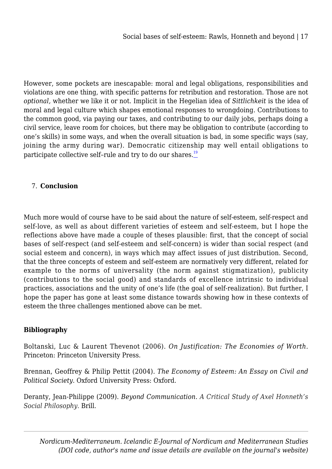However, some pockets are inescapable: moral and legal obligations, responsibilities and violations are one thing, with specific patterns for retribution and restoration. Those are not *optional,* whether we like it or not. Implicit in the Hegelian idea of *Sittlichkeit* is the idea of moral and legal culture which shapes emotional responses to wrongdoing. Contributions to the common good, via paying our taxes, and contributing to our daily jobs, perhaps doing a civil service, leave room for choices, but there may be obligation to contribute (according to one's skills) in some ways, and when the overall situation is bad, in some specific ways (say, joining the army during war). Democratic citizenship may well entail obligations to participate collective self-rule and try to do our shares.<sup>[19](#page-37-0)</sup>

## <span id="page-16-0"></span>7. **Conclusion**

Much more would of course have to be said about the nature of self-esteem, self-respect and self-love, as well as about different varieties of esteem and self-esteem, but I hope the reflections above have made a couple of theses plausible: first, that the concept of social bases of self-respect (and self-esteem and self-concern) is wider than social respect (and social esteem and concern), in ways which may affect issues of just distribution. Second, that the three concepts of esteem and self-esteem are normatively very different, related for example to the norms of universality (the norm against stigmatization), publicity (contributions to the social good) and standards of excellence intrinsic to individual practices, associations and the unity of one's life (the goal of self-realization). But further, I hope the paper has gone at least some distance towards showing how in these contexts of esteem the three challenges mentioned above can be met.

# **Bibliography**

Boltanski, Luc & Laurent Thevenot (2006). *On Justification: The Economies of Worth.* Princeton: Princeton University Press.

Brennan, Geoffrey & Philip Pettit (2004). *The Economy of Esteem: An Essay on Civil and Political Society*. Oxford University Press: Oxford.

Deranty, Jean-Philippe (2009). *Beyond Communication. A Critical Study of Axel Honneth's Social Philosophy.* Brill.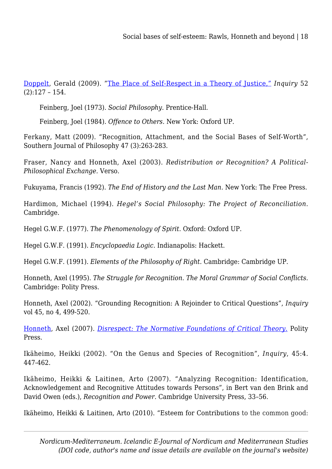[Doppelt](http://philpapers.org/s/Gerald%20Doppelt), Gerald (2009). "[The Place of Self-Respect in a Theory of Justice,"](http://www.informaworld.com/smpp/ftinterface~db=all~content=a910426622~fulltext=713240930) *Inquiry* 52 (2):127 – 154.

Feinberg, Joel (1973). *Social Philosophy.* Prentice-Hall.

Feinberg, Joel (1984). *Offence to Others.* New York: Oxford UP.

Ferkany, Matt (2009). "Recognition, Attachment, and the Social Bases of Self-Worth", Southern Journal of Philosophy 47 (3):263-283.

Fraser, Nancy and Honneth, Axel (2003). *Redistribution or Recognition? A Political-Philosophical Exchange.* Verso.

Fukuyama, Francis (1992). *The End of History and the Last Man*. New York: The Free Press.

Hardimon, Michael (1994). *Hegel's Social Philosophy: The Project of Reconciliation*. Cambridge.

Hegel G.W.F. (1977). *The Phenomenology of Spirit.* Oxford: Oxford UP.

Hegel G.W.F. (1991). *Encyclopaedia Logic.* Indianapolis: Hackett.

Hegel G.W.F. (1991). *Elements of the Philosophy of Right.* Cambridge: Cambridge UP.

Honneth, Axel (1995). *The Struggle for Recognition*. *The Moral Grammar of Social Conflicts*. Cambridge: Polity Press.

Honneth, Axel (2002). "Grounding Recognition: A Rejoinder to Critical Questions", *Inquiry* vol 45, no 4, 499-520.

[Honneth,](http://philpapers.org/s/Axel%20Honneth) Axel (2007). *[Disrespect: The Normative Foundations of Critical Theory.](http://books.google.com/books?id=IBZ9_AX8LLsC&printsec=front_cover)* Polity Press.

Ikäheimo, Heikki (2002). "On the Genus and Species of Recognition", *Inquiry*, 45:4. 447-462.

Ikäheimo, Heikki & Laitinen, Arto (2007). "Analyzing Recognition: Identification, Acknowledgement and Recognitive Attitudes towards Persons", in Bert van den Brink and David Owen (eds.), *Recognition and Power*. Cambridge University Press, 33–56.

Ikäheimo, Heikki & Laitinen, Arto (2010). "Esteem for Contributions to the common good: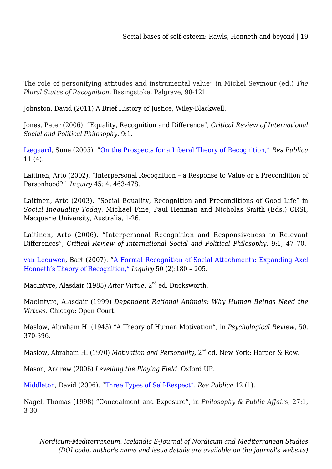The role of personifying attitudes and instrumental value" in Michel Seymour (ed.) *The Plural States of Recognition*, Basingstoke, Palgrave, 98-121.

Johnston, David (2011) A Brief History of Justice, Wiley-Blackwell.

Jones, Peter (2006). "Equality, Recognition and Difference", *Critical Review of International Social and Political Philosophy*. 9:1.

[Lægaard](http://philpapers.org/s/Sune%20lægaard), Sune (2005). "[On the Prospects for a Liberal Theory of Recognition,"](http://www.springerlink.com/content/97527p1h68606021/fulltext.pdf) *Res Publica* 11 (4).

Laitinen, Arto (2002). "Interpersonal Recognition – a Response to Value or a Precondition of Personhood?". *Inquiry* 45: 4, 463-478.

Laitinen, Arto (2003). "Social Equality, Recognition and Preconditions of Good Life" in *Social Inequality Today*. Michael Fine, Paul Henman and Nicholas Smith (Eds.) CRSI, Macquarie University, Australia, 1-26.

Laitinen, Arto (2006). "Interpersonal Recognition and Responsiveness to Relevant Differences", *Critical Review of International Social and Political Philosophy*. 9:1, 47–70.

[van Leeuwen](http://philpapers.org/s/Bart%20van%20Leeuwen), Bart (2007). "[A Formal Recognition of Social Attachments: Expanding Axel](http://www.informaworld.com/smpp/ftinterface~content=a776139436~fulltext=713240930) [Honneth's Theory of Recognition,"](http://www.informaworld.com/smpp/ftinterface~content=a776139436~fulltext=713240930) *Inquiry* 50 (2):180 – 205.

MacIntyre, Alasdair (1985) *After Virtue*, 2<sup>nd</sup> ed. Ducksworth.

MacIntyre, Alasdair (1999) *Dependent Rational Animals: Why Human Beings Need the Virtues*. Chicago: Open Court.

Maslow, Abraham H. (1943) "A Theory of Human Motivation", in *Psychological Review*, 50, 370-396.

Maslow, Abraham H. (1970) *Motivation and Personality*, 2<sup>nd</sup> ed. New York: Harper & Row.

Mason, Andrew (2006) *Levelling the Playing Field*. Oxford UP.

[Middleton](http://philpapers.org/s/David%20Middleton), David (2006). "[Three Types of Self-Respect".](http://www.springerlink.com/content/6m87767252768p80/fulltext.pdf) *Res Publica* 12 (1).

Nagel, Thomas (1998) "Concealment and Exposure", in *Philosophy & Public Affairs*, 27:1, 3-30.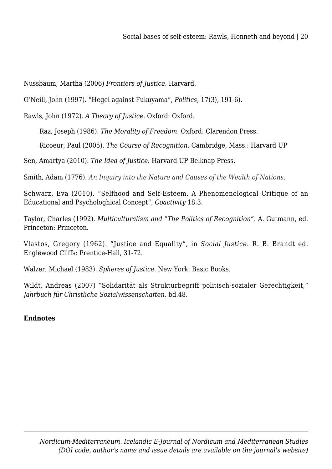Nussbaum, Martha (2006) *Frontiers of Justice.* Harvard.

O'Neill, John (1997). "Hegel against Fukuyama", *Politics,* 17(3), 191-6).

Rawls, John (1972). *A Theory of Justice*. Oxford: Oxford.

Raz, Joseph (1986). *The Morality of Freedom*. Oxford: Clarendon Press.

Ricoeur, Paul (2005). *The Course of Recognition.* Cambridge, Mass.: Harvard UP

Sen, Amartya (2010). *The Idea of Justice.* Harvard UP Belknap Press.

Smith, Adam (1776). *An Inquiry into the Nature and Causes of the Wealth of Nations*.

Schwarz, Eva (2010). "Selfhood and Self-Esteem. A Phenomenological Critique of an Educational and Psychologhical Concept", *Coactivity* 18:3.

Taylor, Charles (1992). *Multiculturalism and "The Politics of Recognition".* A. Gutmann, ed. Princeton: Princeton.

Vlastos, Gregory (1962). "Justice and Equality", in *Social Justice*. R. B. Brandt ed. Englewood Cliffs: Prentice-Hall, 31-72.

Walzer, Michael (1983). *Spheres of Justice*. New York: Basic Books.

Wildt, Andreas (2007) "Solidarität als Strukturbegriff politisch-sozialer Gerechtigkeit," *Jahrbuch für Christliche Sozialwissenschaften*, bd.48.

## **Endnotes**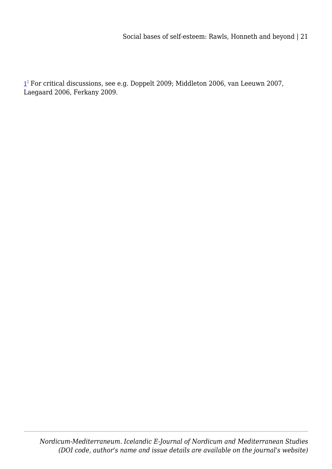<span id="page-20-0"></span>[1](#page-0-0) - For critical discussions, see e.g. Doppelt 2009; Middleton 2006, van Leeuwn 2007, Laegaard 2006, Ferkany 2009.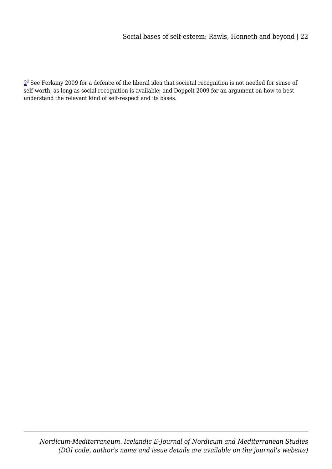<span id="page-21-0"></span> $2^\mathbb{D}$  $2^\mathbb{D}$  See Ferkany 2009 for a defence of the liberal idea that societal recognition is not needed for sense of self-worth, as long as social recognition is available; and Doppelt 2009 for an argument on how to best understand the relevant kind of self-respect and its bases.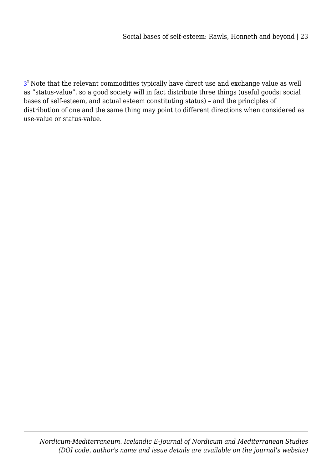<span id="page-22-0"></span> $\mathbf{3}^\text{\tiny{\texttt{I}}}$  $\mathbf{3}^\text{\tiny{\texttt{I}}}$  $\mathbf{3}^\text{\tiny{\texttt{I}}}$  Note that the relevant commodities typically have direct use and exchange value as well as "status-value", so a good society will in fact distribute three things (useful goods; social bases of self-esteem, and actual esteem constituting status) – and the principles of distribution of one and the same thing may point to different directions when considered as use-value or status-value.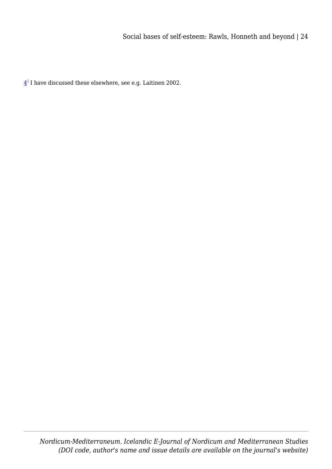<span id="page-23-0"></span> $\frac{4}{10}$  $\frac{4}{10}$  $\frac{4}{10}$  I have discussed these elsewhere, see e.g. Laitinen 2002.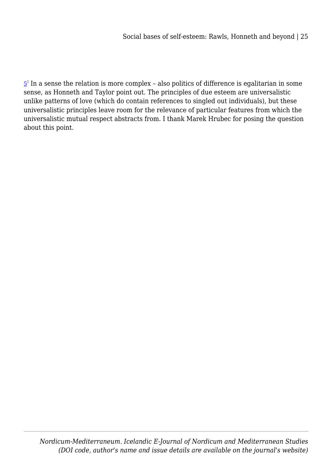<span id="page-24-0"></span> $5^{\text{\tiny{\textup{0}}}}$  $5^{\text{\tiny{\textup{0}}}}$  In a sense the relation is more complex – also politics of difference is egalitarian in some sense, as Honneth and Taylor point out. The principles of due esteem are universalistic unlike patterns of love (which do contain references to singled out individuals), but these universalistic principles leave room for the relevance of particular features from which the universalistic mutual respect abstracts from. I thank Marek Hrubec for posing the question about this point.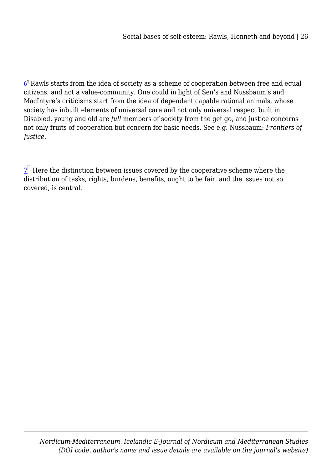<span id="page-25-0"></span> $\underline{6}^{\text{\tiny{I}}}$  $\underline{6}^{\text{\tiny{I}}}$  $\underline{6}^{\text{\tiny{I}}}$  Rawls starts from the idea of society as a scheme of cooperation between free and equal citizens; and not a value-community. One could in light of Sen's and Nussbaum's and MacIntyre's criticisms start from the idea of dependent capable rational animals, whose society has inbuilt elements of universal care and not only universal respect built in. Disabled, young and old are *full* members of society from the get go, and justice concerns not only fruits of cooperation but concern for basic needs. See e.g. Nussbaum: *Frontiers of Justice*.

<span id="page-25-1"></span> $\mathbf{Z}^{\square}$  Here the distinction between issues covered by the cooperative scheme where the distribution of tasks, rights, burdens, benefits, ought to be fair, and the issues not so covered, is central.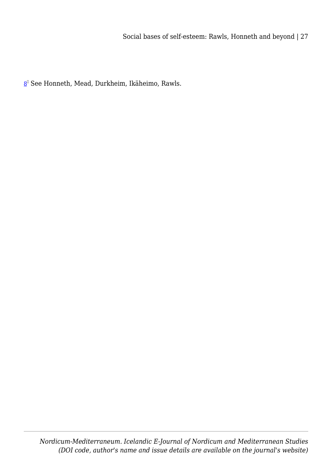<span id="page-26-0"></span><u>[8](#page-6-0)</u>ª See Honneth, Mead, Durkheim, Ikäheimo, Rawls.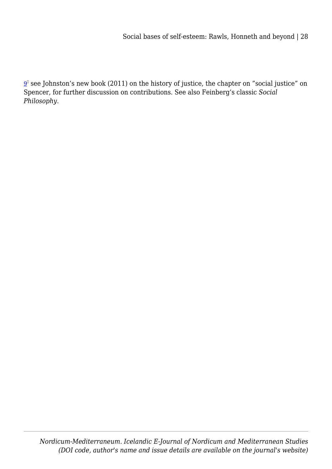<span id="page-27-0"></span> $\underline{9}^{\text{\tiny{I}}}$  $\underline{9}^{\text{\tiny{I}}}$  $\underline{9}^{\text{\tiny{I}}}$  see Johnston's new book (2011) on the history of justice, the chapter on "social justice" on Spencer, for further discussion on contributions. See also Feinberg's classic *Social Philosophy*.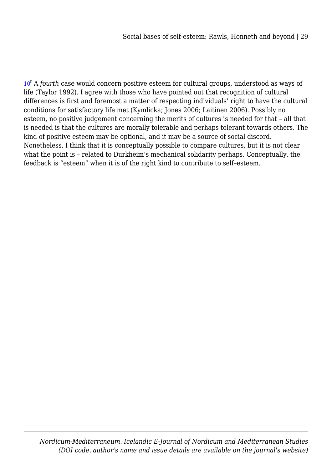<span id="page-28-0"></span>[10](#page-7-0)<sup>°</sup> A *fourth* case would concern positive esteem for cultural groups, understood as ways of life (Taylor 1992). I agree with those who have pointed out that recognition of cultural differences is first and foremost a matter of respecting individuals' right to have the cultural conditions for satisfactory life met (Kymlicka; Jones 2006; Laitinen 2006). Possibly no esteem, no positive judgement concerning the merits of cultures is needed for that – all that is needed is that the cultures are morally tolerable and perhaps tolerant towards others. The kind of positive esteem may be optional, and it may be a source of social discord. Nonetheless, I think that it is conceptually possible to compare cultures, but it is not clear what the point is – related to Durkheim's mechanical solidarity perhaps. Conceptually, the feedback is "esteem" when it is of the right kind to contribute to self–esteem.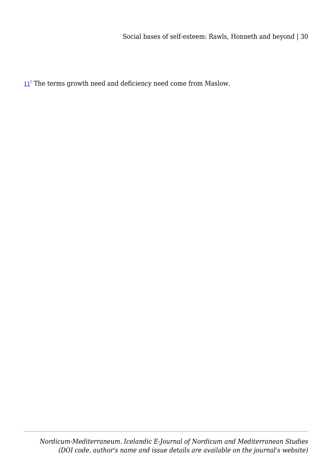<span id="page-29-0"></span> $11^{\circ}$  $11^{\circ}$  The terms growth need and deficiency need come from Maslow.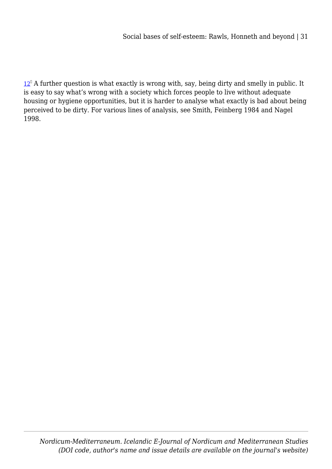<span id="page-30-0"></span> $12^{\circ}$  $12^{\circ}$  A further question is what exactly is wrong with, say, being dirty and smelly in public. It is easy to say what's wrong with a society which forces people to live without adequate housing or hygiene opportunities, but it is harder to analyse what exactly is bad about being perceived to be dirty. For various lines of analysis, see Smith, Feinberg 1984 and Nagel 1998.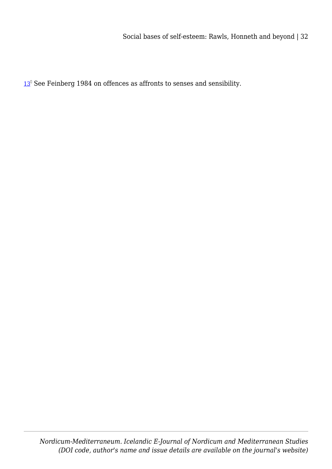<span id="page-31-0"></span> $13<sup>0</sup>$  $13<sup>0</sup>$  See Feinberg 1984 on offences as affronts to senses and sensibility.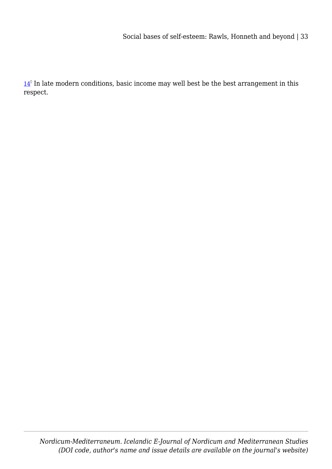<span id="page-32-0"></span> $14<sup>°</sup>$  $14<sup>°</sup>$  In late modern conditions, basic income may well best be the best arrangement in this respect.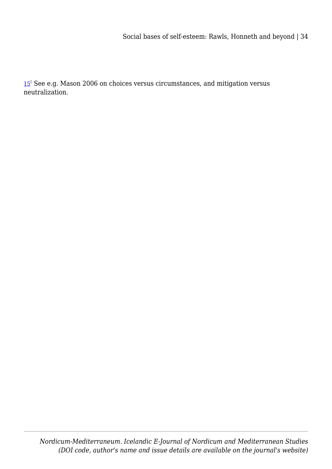<span id="page-33-0"></span>[15](#page-10-1)<sup>0</sup> See e.g. Mason 2006 on choices versus circumstances, and mitigation versus neutralization.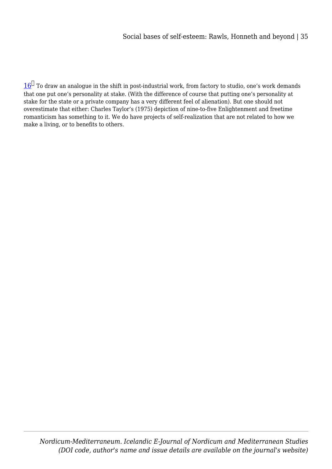<span id="page-34-0"></span> $16^{\Box}$  $16^{\Box}$  To draw an analogue in the shift in post-industrial work, from factory to studio, one's work demands that one put one's personality at stake. (With the difference of course that putting one's personality at stake for the state or a private company has a very different feel of alienation). But one should not overestimate that either: Charles Taylor's (1975) depiction of nine-to-five Enlightenment and freetime romanticism has something to it. We do have projects of self-realization that are not related to how we make a living, or to benefits to others.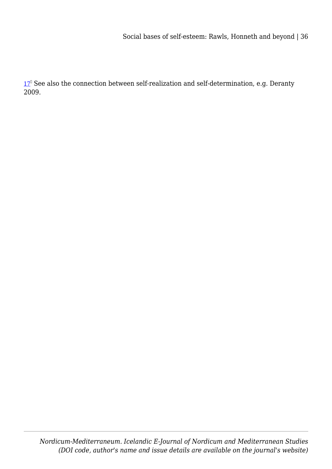<span id="page-35-0"></span>[17](#page-11-1)<sup>°</sup> See also the connection between self-realization and self-determination, e.g. Deranty 2009.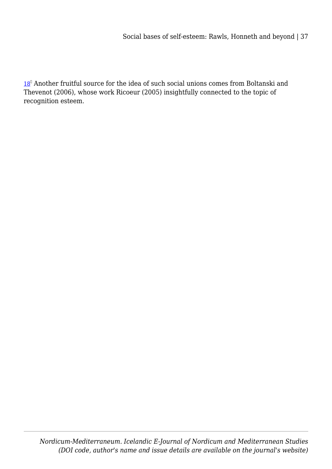<span id="page-36-0"></span>[18](#page-14-0)<sup>0</sup> Another fruitful source for the idea of such social unions comes from Boltanski and Thevenot (2006), whose work Ricoeur (2005) insightfully connected to the topic of recognition esteem.